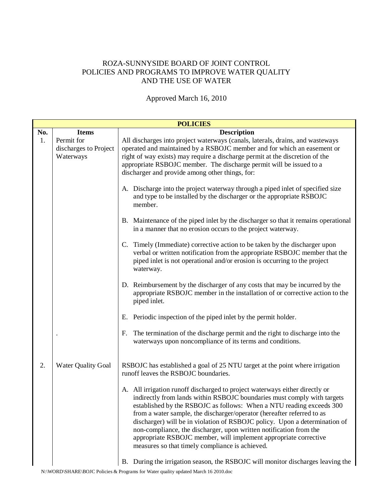## ROZA-SUNNYSIDE BOARD OF JOINT CONTROL POLICIES AND PROGRAMS TO IMPROVE WATER QUALITY AND THE USE OF WATER

## Approved March 16, 2010

|     | <b>POLICIES</b>                                  |                                                                                                                                                                                                                                                                                                                                                                                                                                                                                                                                                                                                                                                                        |  |  |  |  |
|-----|--------------------------------------------------|------------------------------------------------------------------------------------------------------------------------------------------------------------------------------------------------------------------------------------------------------------------------------------------------------------------------------------------------------------------------------------------------------------------------------------------------------------------------------------------------------------------------------------------------------------------------------------------------------------------------------------------------------------------------|--|--|--|--|
| No. | <b>Items</b>                                     | <b>Description</b>                                                                                                                                                                                                                                                                                                                                                                                                                                                                                                                                                                                                                                                     |  |  |  |  |
| 1.  | Permit for<br>discharges to Project<br>Waterways | All discharges into project waterways (canals, laterals, drains, and wasteways<br>operated and maintained by a RSBOJC member and for which an easement or<br>right of way exists) may require a discharge permit at the discretion of the<br>appropriate RSBOJC member. The discharge permit will be issued to a<br>discharger and provide among other things, for:                                                                                                                                                                                                                                                                                                    |  |  |  |  |
|     |                                                  | A. Discharge into the project waterway through a piped inlet of specified size<br>and type to be installed by the discharger or the appropriate RSBOJC<br>member.                                                                                                                                                                                                                                                                                                                                                                                                                                                                                                      |  |  |  |  |
|     |                                                  | B. Maintenance of the piped inlet by the discharger so that it remains operational<br>in a manner that no erosion occurs to the project waterway.                                                                                                                                                                                                                                                                                                                                                                                                                                                                                                                      |  |  |  |  |
|     |                                                  | C. Timely (Immediate) corrective action to be taken by the discharger upon<br>verbal or written notification from the appropriate RSBOJC member that the<br>piped inlet is not operational and/or erosion is occurring to the project<br>waterway.                                                                                                                                                                                                                                                                                                                                                                                                                     |  |  |  |  |
|     |                                                  | D. Reimbursement by the discharger of any costs that may be incurred by the<br>appropriate RSBOJC member in the installation of or corrective action to the<br>piped inlet.                                                                                                                                                                                                                                                                                                                                                                                                                                                                                            |  |  |  |  |
|     |                                                  | E. Periodic inspection of the piped inlet by the permit holder.                                                                                                                                                                                                                                                                                                                                                                                                                                                                                                                                                                                                        |  |  |  |  |
|     |                                                  | The termination of the discharge permit and the right to discharge into the<br>F.<br>waterways upon noncompliance of its terms and conditions.                                                                                                                                                                                                                                                                                                                                                                                                                                                                                                                         |  |  |  |  |
| 2.  | <b>Water Quality Goal</b>                        | RSBOJC has established a goal of 25 NTU target at the point where irrigation<br>runoff leaves the RSBOJC boundaries.                                                                                                                                                                                                                                                                                                                                                                                                                                                                                                                                                   |  |  |  |  |
|     |                                                  | A. All irrigation runoff discharged to project waterways either directly or<br>indirectly from lands within RSBOJC boundaries must comply with targets<br>established by the RSBOJC as follows: When a NTU reading exceeds 300<br>from a water sample, the discharger/operator (hereafter referred to as<br>discharger) will be in violation of RSBOJC policy. Upon a determination of<br>non-compliance, the discharger, upon written notification from the<br>appropriate RSBOJC member, will implement appropriate corrective<br>measures so that timely compliance is achieved.<br>B. During the irrigation season, the RSBOJC will monitor discharges leaving the |  |  |  |  |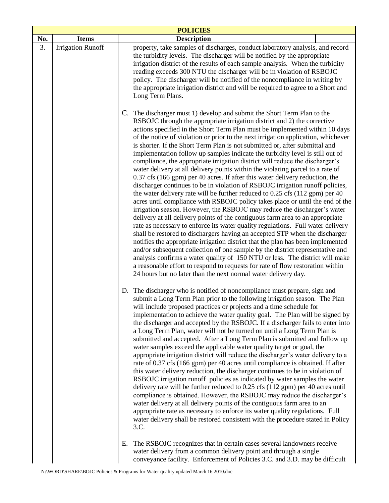|     | <b>POLICIES</b>          |                                                                                                                                                                                                                                                                                                                                                                                                                                                                                                                                                                                                                                                                                                                                                                                                                                                                                                                                                                                                                                                                                                                                                                                                                                                                                                                                                                                                                                                                                                                                                                                                                                                                                                                                    |  |  |  |  |  |  |
|-----|--------------------------|------------------------------------------------------------------------------------------------------------------------------------------------------------------------------------------------------------------------------------------------------------------------------------------------------------------------------------------------------------------------------------------------------------------------------------------------------------------------------------------------------------------------------------------------------------------------------------------------------------------------------------------------------------------------------------------------------------------------------------------------------------------------------------------------------------------------------------------------------------------------------------------------------------------------------------------------------------------------------------------------------------------------------------------------------------------------------------------------------------------------------------------------------------------------------------------------------------------------------------------------------------------------------------------------------------------------------------------------------------------------------------------------------------------------------------------------------------------------------------------------------------------------------------------------------------------------------------------------------------------------------------------------------------------------------------------------------------------------------------|--|--|--|--|--|--|
| No. | <b>Items</b>             | <b>Description</b>                                                                                                                                                                                                                                                                                                                                                                                                                                                                                                                                                                                                                                                                                                                                                                                                                                                                                                                                                                                                                                                                                                                                                                                                                                                                                                                                                                                                                                                                                                                                                                                                                                                                                                                 |  |  |  |  |  |  |
| 3.  | <b>Irrigation Runoff</b> | property, take samples of discharges, conduct laboratory analysis, and record<br>the turbidity levels. The discharger will be notified by the appropriate<br>irrigation district of the results of each sample analysis. When the turbidity<br>reading exceeds 300 NTU the discharger will be in violation of RSBOJC<br>policy. The discharger will be notified of the noncompliance in writing by<br>the appropriate irrigation district and will be required to agree to a Short and<br>Long Term Plans.                                                                                                                                                                                                                                                                                                                                                                                                                                                                                                                                                                                                                                                                                                                                                                                                                                                                                                                                                                                                                                                                                                                                                                                                                         |  |  |  |  |  |  |
|     |                          | C. The discharger must 1) develop and submit the Short Term Plan to the<br>RSBOJC through the appropriate irrigation district and 2) the corrective<br>actions specified in the Short Term Plan must be implemented within 10 days<br>of the notice of violation or prior to the next irrigation application, whichever<br>is shorter. If the Short Term Plan is not submitted or, after submittal and<br>implementation follow up samples indicate the turbidity level is still out of<br>compliance, the appropriate irrigation district will reduce the discharger's<br>water delivery at all delivery points within the violating parcel to a rate of<br>0.37 cfs (166 gpm) per 40 acres. If after this water delivery reduction, the<br>discharger continues to be in violation of RSBOJC irrigation runoff policies,<br>the water delivery rate will be further reduced to 0.25 cfs (112 gpm) per 40<br>acres until compliance with RSBOJC policy takes place or until the end of the<br>irrigation season. However, the RSBOJC may reduce the discharger's water<br>delivery at all delivery points of the contiguous farm area to an appropriate<br>rate as necessary to enforce its water quality regulations. Full water delivery<br>shall be restored to dischargers having an accepted STP when the discharger<br>notifies the appropriate irrigation district that the plan has been implemented<br>and/or subsequent collection of one sample by the district representative and<br>analysis confirms a water quality of 150 NTU or less. The district will make<br>a reasonable effort to respond to requests for rate of flow restoration within<br>24 hours but no later than the next normal water delivery day. |  |  |  |  |  |  |
|     |                          | D. The discharger who is notified of noncompliance must prepare, sign and<br>submit a Long Term Plan prior to the following irrigation season. The Plan<br>will include proposed practices or projects and a time schedule for<br>implementation to achieve the water quality goal. The Plan will be signed by<br>the discharger and accepted by the RSBOJC. If a discharger fails to enter into<br>a Long Term Plan, water will not be turned on until a Long Term Plan is<br>submitted and accepted. After a Long Term Plan is submitted and follow up<br>water samples exceed the applicable water quality target or goal, the<br>appropriate irrigation district will reduce the discharger's water delivery to a<br>rate of 0.37 cfs (166 gpm) per 40 acres until compliance is obtained. If after<br>this water delivery reduction, the discharger continues to be in violation of<br>RSBOJC irrigation runoff policies as indicated by water samples the water<br>delivery rate will be further reduced to 0.25 cfs (112 gpm) per 40 acres until<br>compliance is obtained. However, the RSBOJC may reduce the discharger's<br>water delivery at all delivery points of the contiguous farm area to an<br>appropriate rate as necessary to enforce its water quality regulations. Full<br>water delivery shall be restored consistent with the procedure stated in Policy<br>3.C.                                                                                                                                                                                                                                                                                                                                           |  |  |  |  |  |  |
|     |                          | The RSBOJC recognizes that in certain cases several landowners receive<br>Е.<br>water delivery from a common delivery point and through a single                                                                                                                                                                                                                                                                                                                                                                                                                                                                                                                                                                                                                                                                                                                                                                                                                                                                                                                                                                                                                                                                                                                                                                                                                                                                                                                                                                                                                                                                                                                                                                                   |  |  |  |  |  |  |

conveyance facility. Enforcement of Policies 3.C. and 3.D. may be difficult

 $\vert$ 

 $\mathbf l$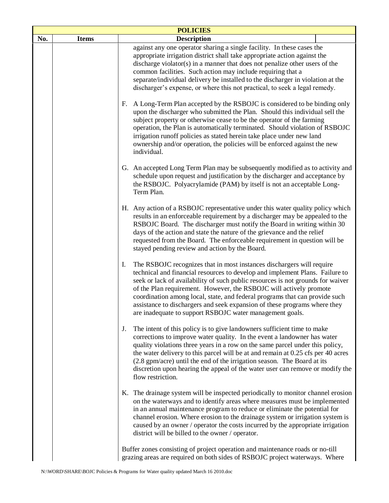| <b>POLICIES</b> |                                                                                                                                                              |                                                                                                                                                                                                                                                                                                                                                                                                                                                                                                                                              |  |  |  |  |  |
|-----------------|--------------------------------------------------------------------------------------------------------------------------------------------------------------|----------------------------------------------------------------------------------------------------------------------------------------------------------------------------------------------------------------------------------------------------------------------------------------------------------------------------------------------------------------------------------------------------------------------------------------------------------------------------------------------------------------------------------------------|--|--|--|--|--|
| No.             | <b>Items</b>                                                                                                                                                 | <b>Description</b>                                                                                                                                                                                                                                                                                                                                                                                                                                                                                                                           |  |  |  |  |  |
|                 |                                                                                                                                                              | against any one operator sharing a single facility. In these cases the<br>appropriate irrigation district shall take appropriate action against the<br>discharge violator(s) in a manner that does not penalize other users of the<br>common facilities. Such action may include requiring that a<br>separate/individual delivery be installed to the discharger in violation at the<br>discharger's expense, or where this not practical, to seek a legal remedy.                                                                           |  |  |  |  |  |
|                 |                                                                                                                                                              | F. A Long-Term Plan accepted by the RSBOJC is considered to be binding only<br>upon the discharger who submitted the Plan. Should this individual sell the<br>subject property or otherwise cease to be the operator of the farming<br>operation, the Plan is automatically terminated. Should violation of RSBOJC<br>irrigation runoff policies as stated herein take place under new land<br>ownership and/or operation, the policies will be enforced against the new<br>individual.                                                      |  |  |  |  |  |
|                 |                                                                                                                                                              | G. An accepted Long Term Plan may be subsequently modified as to activity and<br>schedule upon request and justification by the discharger and acceptance by<br>the RSBOJC. Polyacrylamide (PAM) by itself is not an acceptable Long-<br>Term Plan.                                                                                                                                                                                                                                                                                          |  |  |  |  |  |
|                 |                                                                                                                                                              | H. Any action of a RSBOJC representative under this water quality policy which<br>results in an enforceable requirement by a discharger may be appealed to the<br>RSBOJC Board. The discharger must notify the Board in writing within 30<br>days of the action and state the nature of the grievance and the relief<br>requested from the Board. The enforceable requirement in question will be<br>stayed pending review and action by the Board.                                                                                          |  |  |  |  |  |
|                 |                                                                                                                                                              | The RSBOJC recognizes that in most instances dischargers will require<br>I.<br>technical and financial resources to develop and implement Plans. Failure to<br>seek or lack of availability of such public resources is not grounds for waiver<br>of the Plan requirement. However, the RSBOJC will actively promote<br>coordination among local, state, and federal programs that can provide such<br>assistance to dischargers and seek expansion of these programs where they<br>are inadequate to support RSBOJC water management goals. |  |  |  |  |  |
|                 |                                                                                                                                                              | The intent of this policy is to give landowners sufficient time to make<br>J.<br>corrections to improve water quality. In the event a landowner has water<br>quality violations three years in a row on the same parcel under this policy,<br>the water delivery to this parcel will be at and remain at 0.25 cfs per 40 acres<br>(2.8 gpm/acre) until the end of the irrigation season. The Board at its<br>discretion upon hearing the appeal of the water user can remove or modify the<br>flow restriction.                              |  |  |  |  |  |
|                 |                                                                                                                                                              | K. The drainage system will be inspected periodically to monitor channel erosion<br>on the waterways and to identify areas where measures must be implemented<br>in an annual maintenance program to reduce or eliminate the potential for<br>channel erosion. Where erosion to the drainage system or irrigation system is<br>caused by an owner / operator the costs incurred by the appropriate irrigation<br>district will be billed to the owner / operator.                                                                            |  |  |  |  |  |
|                 | Buffer zones consisting of project operation and maintenance roads or no-till<br>grazing areas are required on both sides of RSBOJC project waterways. Where |                                                                                                                                                                                                                                                                                                                                                                                                                                                                                                                                              |  |  |  |  |  |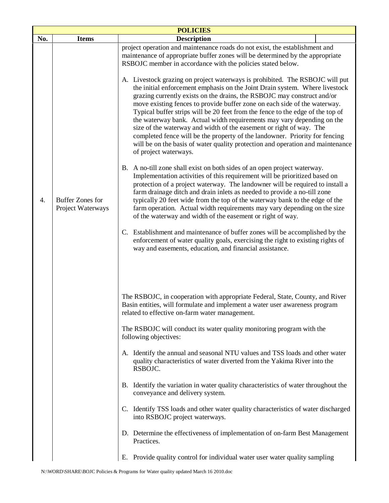| <b>POLICIES</b> |                                              |                                                                                                                                                                                                                                                                                                                                                                                                                                                                                                                                                                                                                                                                                                                                                  |  |  |  |  |  |  |
|-----------------|----------------------------------------------|--------------------------------------------------------------------------------------------------------------------------------------------------------------------------------------------------------------------------------------------------------------------------------------------------------------------------------------------------------------------------------------------------------------------------------------------------------------------------------------------------------------------------------------------------------------------------------------------------------------------------------------------------------------------------------------------------------------------------------------------------|--|--|--|--|--|--|
| No.             | <b>Items</b>                                 | <b>Description</b>                                                                                                                                                                                                                                                                                                                                                                                                                                                                                                                                                                                                                                                                                                                               |  |  |  |  |  |  |
|                 |                                              | project operation and maintenance roads do not exist, the establishment and<br>maintenance of appropriate buffer zones will be determined by the appropriate<br>RSBOJC member in accordance with the policies stated below.                                                                                                                                                                                                                                                                                                                                                                                                                                                                                                                      |  |  |  |  |  |  |
|                 |                                              | A. Livestock grazing on project waterways is prohibited. The RSBOJC will put<br>the initial enforcement emphasis on the Joint Drain system. Where livestock<br>grazing currently exists on the drains, the RSBOJC may construct and/or<br>move existing fences to provide buffer zone on each side of the waterway.<br>Typical buffer strips will be 20 feet from the fence to the edge of the top of<br>the waterway bank. Actual width requirements may vary depending on the<br>size of the waterway and width of the easement or right of way. The<br>completed fence will be the property of the landowner. Priority for fencing<br>will be on the basis of water quality protection and operation and maintenance<br>of project waterways. |  |  |  |  |  |  |
| 4.              | <b>Buffer Zones for</b><br>Project Waterways | B. A no-till zone shall exist on both sides of an open project waterway.<br>Implementation activities of this requirement will be prioritized based on<br>protection of a project waterway. The landowner will be required to install a<br>farm drainage ditch and drain inlets as needed to provide a no-till zone<br>typically 20 feet wide from the top of the waterway bank to the edge of the<br>farm operation. Actual width requirements may vary depending on the size<br>of the waterway and width of the easement or right of way.                                                                                                                                                                                                     |  |  |  |  |  |  |
|                 |                                              | C. Establishment and maintenance of buffer zones will be accomplished by the<br>enforcement of water quality goals, exercising the right to existing rights of<br>way and easements, education, and financial assistance.                                                                                                                                                                                                                                                                                                                                                                                                                                                                                                                        |  |  |  |  |  |  |
|                 |                                              | The RSBOJC, in cooperation with appropriate Federal, State, County, and River<br>Basin entities, will formulate and implement a water user awareness program<br>related to effective on-farm water management.<br>The RSBOJC will conduct its water quality monitoring program with the                                                                                                                                                                                                                                                                                                                                                                                                                                                          |  |  |  |  |  |  |
|                 |                                              | following objectives:                                                                                                                                                                                                                                                                                                                                                                                                                                                                                                                                                                                                                                                                                                                            |  |  |  |  |  |  |
|                 |                                              | A. Identify the annual and seasonal NTU values and TSS loads and other water<br>quality characteristics of water diverted from the Yakima River into the<br>RSBOJC.                                                                                                                                                                                                                                                                                                                                                                                                                                                                                                                                                                              |  |  |  |  |  |  |
|                 |                                              | Identify the variation in water quality characteristics of water throughout the<br>В.<br>conveyance and delivery system.                                                                                                                                                                                                                                                                                                                                                                                                                                                                                                                                                                                                                         |  |  |  |  |  |  |
|                 |                                              | C. Identify TSS loads and other water quality characteristics of water discharged<br>into RSBOJC project waterways.                                                                                                                                                                                                                                                                                                                                                                                                                                                                                                                                                                                                                              |  |  |  |  |  |  |
|                 |                                              | D. Determine the effectiveness of implementation of on-farm Best Management<br>Practices.                                                                                                                                                                                                                                                                                                                                                                                                                                                                                                                                                                                                                                                        |  |  |  |  |  |  |
|                 |                                              | Provide quality control for individual water user water quality sampling<br>Е.                                                                                                                                                                                                                                                                                                                                                                                                                                                                                                                                                                                                                                                                   |  |  |  |  |  |  |